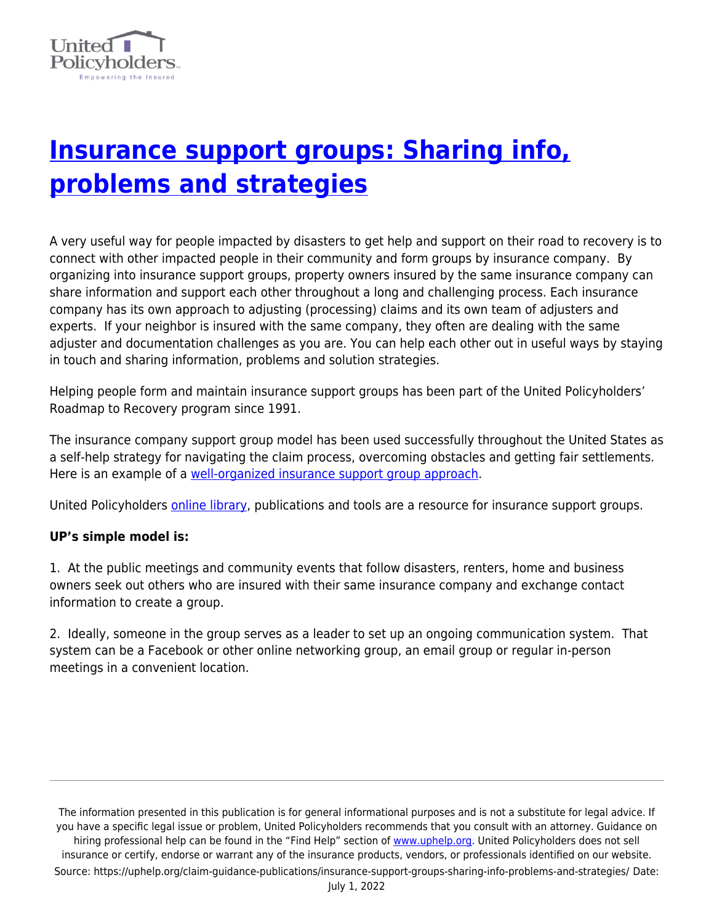

## **[Insurance support groups: Sharing info,](https://uphelp.org/claim-guidance-publications/insurance-support-groups-sharing-info-problems-and-strategies/) [problems and strategies](https://uphelp.org/claim-guidance-publications/insurance-support-groups-sharing-info-problems-and-strategies/)**

A very useful way for people impacted by disasters to get help and support on their road to recovery is to connect with other impacted people in their community and form groups by insurance company. By organizing into insurance support groups, property owners insured by the same insurance company can share information and support each other throughout a long and challenging process. Each insurance company has its own approach to adjusting (processing) claims and its own team of adjusters and experts. If your neighbor is insured with the same company, they often are dealing with the same adjuster and documentation challenges as you are. You can help each other out in useful ways by staying in touch and sharing information, problems and solution strategies.

Helping people form and maintain insurance support groups has been part of the United Policyholders' Roadmap to Recovery program since 1991.

The insurance company support group model has been used successfully throughout the United States as a self-help strategy for navigating the claim process, overcoming obstacles and getting fair settlements. Here is an example of a [well-organized insurance support group approach](https://neighborstogethersr.com/insurance-groups/).

United Policyholders **online library**, publications and tools are a resource for insurance support groups.

## **UP's simple model is:**

1. At the public meetings and community events that follow disasters, renters, home and business owners seek out others who are insured with their same insurance company and exchange contact information to create a group.

2. Ideally, someone in the group serves as a leader to set up an ongoing communication system. That system can be a Facebook or other online networking group, an email group or regular in-person meetings in a convenient location.

The information presented in this publication is for general informational purposes and is not a substitute for legal advice. If you have a specific legal issue or problem, United Policyholders recommends that you consult with an attorney. Guidance on hiring professional help can be found in the "Find Help" section of [www.uphelp.org.](http://www.uphelp.org/) United Policyholders does not sell insurance or certify, endorse or warrant any of the insurance products, vendors, or professionals identified on our website. Source: https://uphelp.org/claim-guidance-publications/insurance-support-groups-sharing-info-problems-and-strategies/ Date: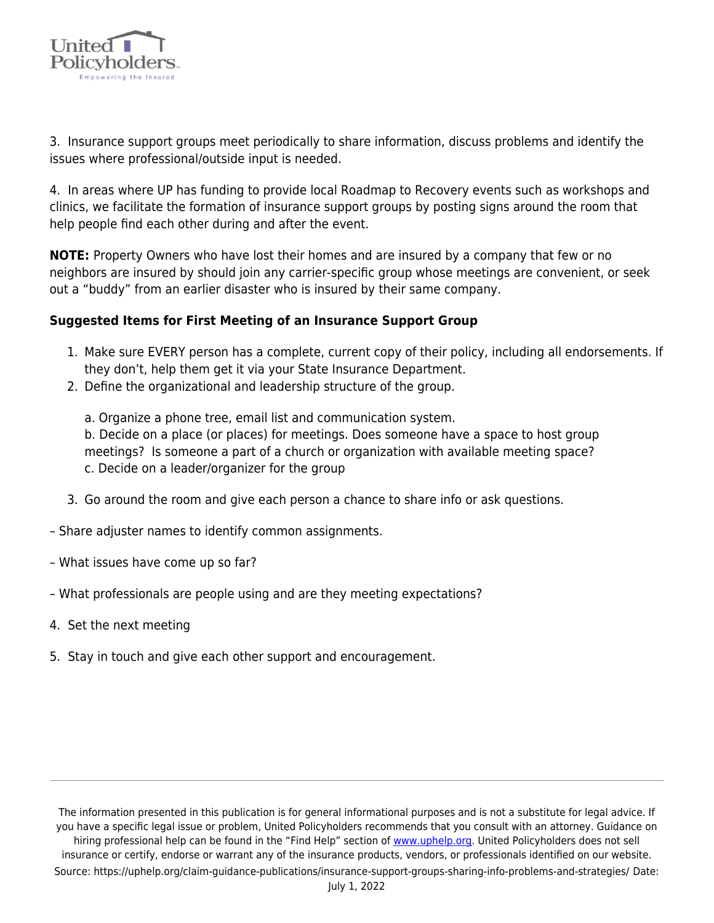

3. Insurance support groups meet periodically to share information, discuss problems and identify the issues where professional/outside input is needed.

4. In areas where UP has funding to provide local Roadmap to Recovery events such as workshops and clinics, we facilitate the formation of insurance support groups by posting signs around the room that help people find each other during and after the event.

**NOTE:** Property Owners who have lost their homes and are insured by a company that few or no neighbors are insured by should join any carrier-specific group whose meetings are convenient, or seek out a "buddy" from an earlier disaster who is insured by their same company.

## **Suggested Items for First Meeting of an Insurance Support Group**

- 1. Make sure EVERY person has a complete, current copy of their policy, including all endorsements. If they don't, help them get it via your State Insurance Department.
- 2. Define the organizational and leadership structure of the group.

a. Organize a phone tree, email list and communication system. b. Decide on a place (or places) for meetings. Does someone have a space to host group meetings? Is someone a part of a church or organization with available meeting space? c. Decide on a leader/organizer for the group

- 3. Go around the room and give each person a chance to share info or ask questions.
- Share adjuster names to identify common assignments.
- What issues have come up so far?
- What professionals are people using and are they meeting expectations?
- 4. Set the next meeting
- 5. Stay in touch and give each other support and encouragement.

The information presented in this publication is for general informational purposes and is not a substitute for legal advice. If you have a specific legal issue or problem, United Policyholders recommends that you consult with an attorney. Guidance on hiring professional help can be found in the "Find Help" section of [www.uphelp.org.](http://www.uphelp.org/) United Policyholders does not sell insurance or certify, endorse or warrant any of the insurance products, vendors, or professionals identified on our website. Source: https://uphelp.org/claim-guidance-publications/insurance-support-groups-sharing-info-problems-and-strategies/ Date: